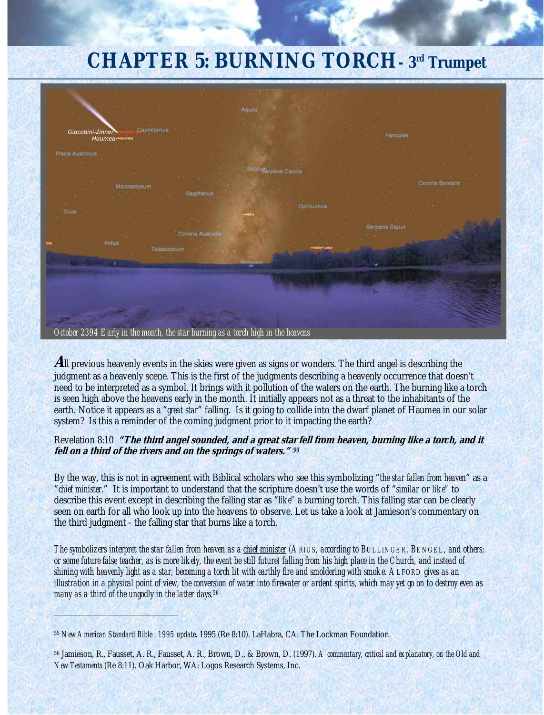# **CHAPTER 5: BURNING TORCH- 3rd Trumpet**



**A**ll previous heavenly events in the skies were given as signs or wonders. The third angel is describing the judgment as a heavenly scene. This is the first of the judgments describing a heavenly occurrence that doesn't need to be interpreted as a symbol. It brings with it pollution of the waters on the earth. The burning like a torch is seen high above the heavens early in the month. It initially appears not as a threat to the inhabitants of the earth. Notice it appears as a "*great star*" falling. Is it going to collide into the dwarf planet of Haumea in our solar system? Is this a reminder of the coming judgment prior to it impacting the earth?

#### Revelation 8:10 **"The third angel sounded, and a great star fell from heaven, burning like a torch, and it fell on a third of the rivers and on the springs of waters." <sup>55</sup>**

By the way, this is not in agreement with Biblical scholars who see this symbolizing "*the star fallen from heaven*" as a "*chief minister*." It is important to understand that the scripture doesn't use the words of "*similar* or *like"* to describe this event except in describing the falling star as "*like"* a burning torch. This falling star can be clearly seen on earth for all who look up into the heavens to observe. Let us take a look at Jamieson's commentary on the third judgment - the falling star that burns like a torch.

*The symbolizers interpret the star fallen from heaven as a chief minister (ARIUS, according to BULLINGER, BENGEL, and others; or some future false teacher, as is more likely, the event be still future) falling from his high place in the Church, and instead of shining with heavenly light as a star, becoming a torch lit with earthly fire and smoldering with smoke. ALFORD gives as an illustration in a physical point of view, the conversion of water into firewater or ardent spirits, which may yet go on to destroy even as many as a third of the ungodly in the latter days.56*

<u> Alexandria de Alexandria de Alexandria de Alexandria de Alexandria de Alexandria de Alexandria de Alexandria </u>

<sup>55</sup> *New American Standard Bible : 1995 update*. 1995 (Re 8:10). LaHabra, CA: The Lockman Foundation.

<sup>56</sup> Jamieson, R., Fausset, A. R., Fausset, A. R., Brown, D., & Brown, D. (1997). *A commentary, critical and explanatory, on the Old and New Testaments* (Re 8:11). Oak Harbor, WA: Logos Research Systems, Inc.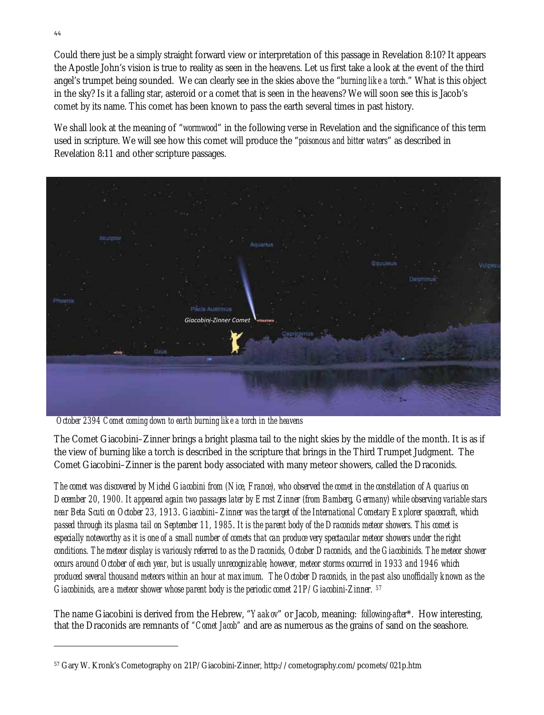Could there just be a simply straight forward view or interpretation of this passage in Revelation 8:10? It appears the Apostle John's vision is true to reality as seen in the heavens. Let us first take a look at the event of the third angel's trumpet being sounded. We can clearly see in the skies above the "*burning like a torch*." What is this object in the sky? Is it a falling star, asteroid or a comet that is seen in the heavens? We will soon see this is Jacob's comet by its name. This comet has been known to pass the earth several times in past history.

We shall look at the meaning of "*wormwood*" in the following verse in Revelation and the significance of this term used in scripture. We will see how this comet will produce the "*poisonous and bitter waters*" as described in Revelation 8:11 and other scripture passages.



 *October 2394 Comet coming down to earth burning like a torch in the heavens*

The Comet Giacobini–Zinner brings a bright plasma tail to the night skies by the middle of the month. It is as if the view of burning like a torch is described in the scripture that brings in the Third Trumpet Judgment. The Comet Giacobini–Zinner is the parent body associated with many meteor showers, called the Draconids.

*The comet was discovered by Michel Giacobini from (Nice, France), who observed the comet in the constellation of Aquarius on December 20, 1900. It appeared again two passages later by Ernst Zinner (from Bamberg, Germany) while observing variable stars near Beta Scuti on October 23, 1913*. *Giacobini–Zinner was the target of the International Cometary Explorer spacecraft, which passed through its plasma tail on September 11, 1985*. *It is the parent body of the Draconids meteor showers. This comet is especially noteworthy as it is one of a small number of comets that can produce very spectacular meteor showers under the right conditions. The meteor display is variously referred to as the Draconids, October Draconids, and the Giacobinids. The meteor shower occurs around October of each year, but is usually unrecognizable; however, meteor storms occurred in 1933 and 1946 which produced several thousand meteors within an hour at maximum. The October Draconids, in the past also unofficially known as the Giacobinids, are a meteor shower whose parent body is the periodic comet 21P/Giacobini-Zinner. 57*

The name Giacobini is derived from the Hebrew, "*Yaakov*" or Jacob, meaning: *following-after*\*. How interesting, that the Draconids are remnants of *"Comet Jacob"* and are as numerous as the grains of sand on the seashore.

<sup>57</sup> Gary W. Kronk's Cometography on 21P/Giacobini-Zinner, http://cometography.com/pcomets/021p.htm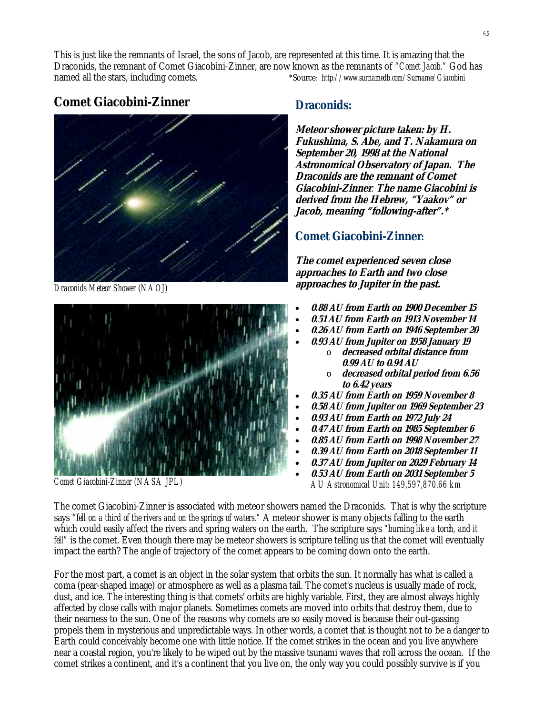This is just like the remnants of Israel, the sons of Jacob, are represented at this time. It is amazing that the Draconids, the remnant of Comet Giacobini-Zinner, are now known as the remnants of *"Comet Jacob."* God has named all the stars, including comets. \*Source*: http://www.surnamedb.com/Surname/Giacobini*

# **Comet Giacobini-Zinner**



*Draconids Meteor Shower (NAOJ)*



*Comet Giacobini-Zinner (NASA JPL)*

## **Draconids:**

**Meteor shower picture taken: by H. Fukushima, S. Abe, and T. Nakamura on September 20, 1998 at the National Astronomical Observatory of Japan. The Draconids are the remnant of Comet Giacobini-Zinner***.* **The name Giacobini is derived from the Hebrew, "Yaakov" or Jacob, meaning "following-after".\*** 

## **Comet Giacobini-Zinner:**

**The comet experienced seven close approaches to Earth and two close approaches to Jupiter in the past.** 

- **0.88 AU from Earth on 1900 December 15**
- **0.51 AU from Earth on 1913 November 14**
- **0.26 AU from Earth on 1946 September 20**
- **0.93 AU from Jupiter on 1958 January 19**  o **decreased orbital distance from** 
	- **0.99 AU to 0.94 AU**  o **decreased orbital period from 6.56**
- **to 6.42 years**  • **0.35 AU from Earth on 1959 November 8**
- **0.58 AU from Jupiter on 1969 September 23**
- **0.93 AU from Earth on 1972 July 24**
- **0.47 AU from Earth on 1985 September 6**
- **0.85 AU from Earth on 1998 November 27**
- **0.39 AU from Earth on 2018 September 11**
- 
- **0.37 AU from Jupiter on 2029 February 14**  • **0.53 AU from Earth on 2031 September 5**
- *AU Astronomical Unit: 149,597,870.66 km*

The comet Giacobini-Zinner is associated with meteor showers named the Draconids. That is why the scripture says "*fell on a third of the rivers and on the springs of waters."* A meteor shower is many objects falling to the earth which could easily affect the rivers and spring waters on the earth. The scripture says *"burning like a torch, and it fell*" is the comet. Even though there may be meteor showers is scripture telling us that the comet will eventually impact the earth? The angle of trajectory of the comet appears to be coming down onto the earth.

For the most part, a comet is an object in the solar system that orbits the sun. It normally has what is called a coma (pear-shaped image) or atmosphere as well as a plasma tail. The comet's nucleus is usually made of rock, dust, and ice. The interesting thing is that comets' orbits are highly variable. First, they are almost always highly affected by close calls with major planets. Sometimes comets are moved into orbits that destroy them, due to their nearness to the sun. One of the reasons why comets are so easily moved is because their out-gassing propels them in mysterious and unpredictable ways. In other words, a comet that is thought not to be a danger to Earth could conceivably become one with little notice. If the comet strikes in the ocean and you live anywhere near a coastal region, you're likely to be wiped out by the massive tsunami waves that roll across the ocean. If the comet strikes a continent, and it's a continent that you live on, the only way you could possibly survive is if you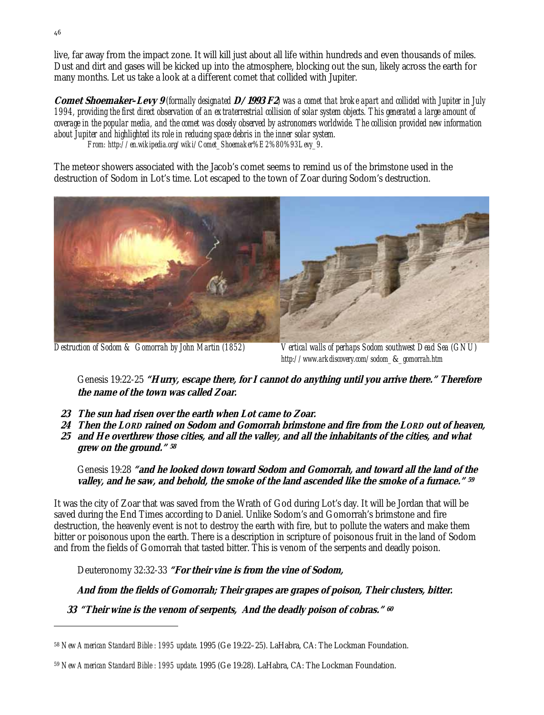live, far away from the impact zone. It will kill just about all life within hundreds and even thousands of miles. Dust and dirt and gases will be kicked up into the atmosphere, blocking out the sun, likely across the earth for many months. Let us take a look at a different comet that collided with Jupiter.

**Comet Shoemaker–Levy 9** *(formally designated* **D/1993 F2***) was a comet that broke apart and collided with Jupiter in July 1994, providing the first direct observation of an extraterrestrial collision of solar system objects. This generated a large amount of coverage in the popular media, and the comet was closely observed by astronomers worldwide. The collision provided new information about Jupiter and highlighted its role in reducing space debris in the inner solar system. From: http://en.wikipedia.org/wiki/Comet\_Shoemaker%E2%80%93Levy\_9*.

The meteor showers associated with the Jacob's comet seems to remind us of the brimstone used in the destruction of Sodom in Lot's time. Lot escaped to the town of Zoar during Sodom's destruction.



*Destruction of Sodom & Gomorrah by John Martin (1852) Vertical walls of perhaps Sodom southwest Dead Sea (GNU) http://www.arkdiscovery.com/sodom\_*&*\_gomorrah.htm*

 Genesis 19:22-25 **"Hurry, escape there, for I cannot do anything until you arrive there." Therefore the name of the town was called Zoar.** 

- **23 The sun had risen over the earth when Lot came to Zoar.**
- **24 Then the LORD rained on Sodom and Gomorrah brimstone and fire from the LORD out of heaven, 25 and He overthrew those cities, and all the valley, and all the inhabitants of the cities, and what grew on the ground." <sup>58</sup>**

 Genesis 19:28 **"and he looked down toward Sodom and Gomorrah, and toward all the land of the valley, and he saw, and behold, the smoke of the land ascended like the smoke of a furnace." <sup>59</sup>**

It was the city of Zoar that was saved from the Wrath of God during Lot's day. It will be Jordan that will be saved during the End Times according to Daniel. Unlike Sodom's and Gomorrah's brimstone and fire destruction, the heavenly event is not to destroy the earth with fire, but to pollute the waters and make them bitter or poisonous upon the earth. There is a description in scripture of poisonous fruit in the land of Sodom and from the fields of Gomorrah that tasted bitter. This is venom of the serpents and deadly poison.

Deuteronomy 32:32-33 **"For their vine is from the vine of Sodom,** 

 **And from the fields of Gomorrah; Their grapes are grapes of poison, Their clusters, bitter.** 

 **33 "Their wine is the venom of serpents, And the deadly poison of cobras." <sup>60</sup>**

<sup>58</sup> *New American Standard Bible : 1995 update*. 1995 (Ge 19:22–25). LaHabra, CA: The Lockman Foundation.

<sup>59</sup> *New American Standard Bible : 1995 update*. 1995 (Ge 19:28). LaHabra, CA: The Lockman Foundation.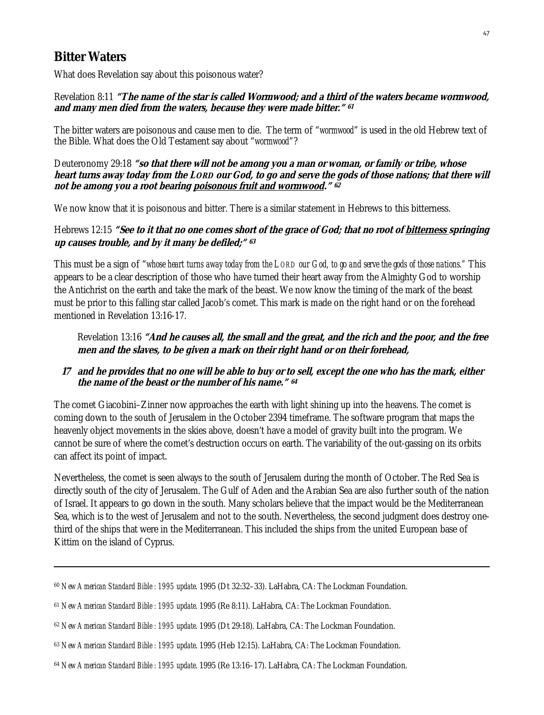## **Bitter Waters**

What does Revelation say about this poisonous water?

#### Revelation 8:11 **"The name of the star is called Wormwood; and a third of the waters became wormwood, and many men died from the waters, because they were made bitter." <sup>61</sup>**

The bitter waters are poisonous and cause men to die. The term of "*wormwood*" is used in the old Hebrew text of the Bible. What does the Old Testament say about "*wormwood*"?

Deuteronomy 29:18 **"so that there will not be among you a man or woman, or family or tribe, whose heart turns away today from the LORD our God, to go and serve the gods of those nations; that there will not be among you a root bearing poisonous fruit and wormwood." <sup>62</sup>**

We now know that it is poisonous and bitter. There is a similar statement in Hebrews to this bitterness.

#### Hebrews 12:15 "See to it that no one comes short of the grace of God; that no root of **bitterness springing up causes trouble, and by it many be defiled;" <sup>63</sup>**

This must be a sign of "*whose heart turns away today from the LORD our God, to go and serve the gods of those nations."* This appears to be a clear description of those who have turned their heart away from the Almighty God to worship the Antichrist on the earth and take the mark of the beast. We now know the timing of the mark of the beast must be prior to this falling star called Jacob's comet. This mark is made on the right hand or on the forehead mentioned in Revelation 13:16-17.

 Revelation 13:16 **"And he causes all, the small and the great, and the rich and the poor, and the free men and the slaves, to be given a mark on their right hand or on their forehead,** 

#### **17 and he provides that no one will be able to buy or to sell, except the one who has the mark, either the name of the beast or the number of his name." <sup>64</sup>**

The comet Giacobini–Zinner now approaches the earth with light shining up into the heavens. The comet is coming down to the south of Jerusalem in the October 2394 timeframe. The software program that maps the heavenly object movements in the skies above, doesn't have a model of gravity built into the program. We cannot be sure of where the comet's destruction occurs on earth. The variability of the out-gassing on its orbits can affect its point of impact.

Nevertheless, the comet is seen always to the south of Jerusalem during the month of October. The Red Sea is directly south of the city of Jerusalem. The Gulf of Aden and the Arabian Sea are also further south of the nation of Israel. It appears to go down in the south. Many scholars believe that the impact would be the Mediterranean Sea, which is to the west of Jerusalem and not to the south. Nevertheless, the second judgment does destroy onethird of the ships that were in the Mediterranean. This included the ships from the united European base of Kittim on the island of Cyprus.

<u> 1989 - Johann Stoff, amerikansk politiker (d. 1989)</u>

<sup>60</sup> *New American Standard Bible : 1995 update*. 1995 (Dt 32:32–33). LaHabra, CA: The Lockman Foundation.

<sup>61</sup> *New American Standard Bible : 1995 update*. 1995 (Re 8:11). LaHabra, CA: The Lockman Foundation.

<sup>62</sup> *New American Standard Bible : 1995 update*. 1995 (Dt 29:18). LaHabra, CA: The Lockman Foundation.

<sup>63</sup> *New American Standard Bible : 1995 update*. 1995 (Heb 12:15). LaHabra, CA: The Lockman Foundation.

<sup>64</sup> *New American Standard Bible : 1995 update*. 1995 (Re 13:16–17). LaHabra, CA: The Lockman Foundation.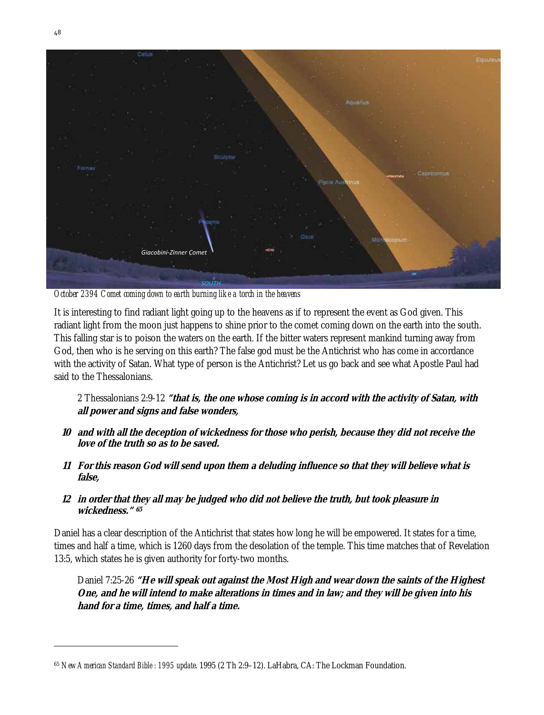

*October 2394 Comet coming down to earth burning like a torch in the heavens*

It is interesting to find radiant light going up to the heavens as if to represent the event as God given. This radiant light from the moon just happens to shine prior to the comet coming down on the earth into the south. This falling star is to poison the waters on the earth. If the bitter waters represent mankind turning away from God, then who is he serving on this earth? The false god must be the Antichrist who has come in accordance with the activity of Satan. What type of person is the Antichrist? Let us go back and see what Apostle Paul had said to the Thessalonians.

### 2 Thessalonians 2:9-12 **"that is, the one whose coming is in accord with the activity of Satan, with all power and signs and false wonders,**

- **10 and with all the deception of wickedness for those who perish, because they did not receive the love of the truth so as to be saved.**
- **11 For this reason God will send upon them a deluding influence so that they will believe what is false,**

#### **12 in order that they all may be judged who did not believe the truth, but took pleasure in wickedness." <sup>65</sup>**

Daniel has a clear description of the Antichrist that states how long he will be empowered. It states for a time, times and half a time, which is 1260 days from the desolation of the temple. This time matches that of Revelation 13:5, which states he is given authority for forty-two months.

 Daniel 7:25-26 **"He will speak out against the Most High and wear down the saints of the Highest One, and he will intend to make alterations in times and in law; and they will be given into his hand for a time, times, and half a time.** 

<sup>65</sup> *New American Standard Bible : 1995 update*. 1995 (2 Th 2:9–12). LaHabra, CA: The Lockman Foundation.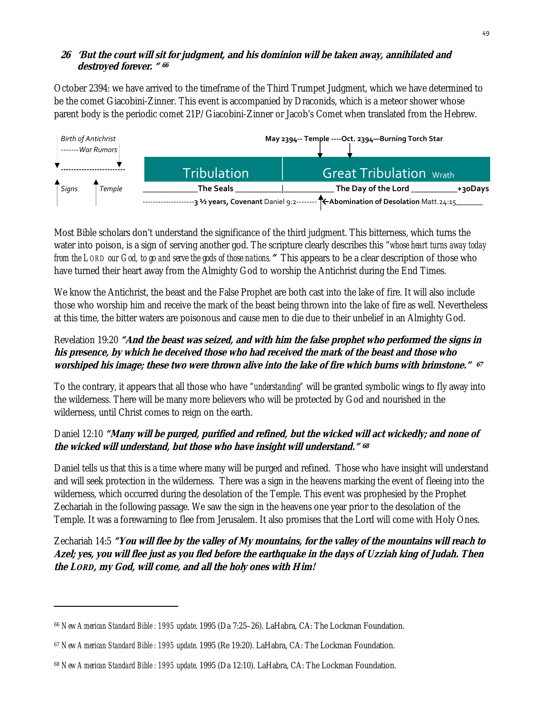#### **26 'But the court will sit for judgment, and his dominion will be taken away, annihilated and destroyed forever. " <sup>66</sup>**

October 2394: we have arrived to the timeframe of the Third Trumpet Judgment, which we have determined to be the comet Giacobini-Zinner. This event is accompanied by Draconids, which is a meteor shower whose parent body is the periodic comet 21P/Giacobini-Zinner or Jacob's Comet when translated from the Hebrew.



Most Bible scholars don't understand the significance of the third judgment. This bitterness, which turns the water into poison, is a sign of serving another god. The scripture clearly describes this "*whose heart turns away today from the LORD our God, to go and serve the gods of those nations.***"** This appears to be a clear description of those who have turned their heart away from the Almighty God to worship the Antichrist during the End Times.

We know the Antichrist, the beast and the False Prophet are both cast into the lake of fire. It will also include those who worship him and receive the mark of the beast being thrown into the lake of fire as well. Nevertheless at this time, the bitter waters are poisonous and cause men to die due to their unbelief in an Almighty God.

## Revelation 19:20 **"And the beast was seized, and with him the false prophet who performed the signs in his presence, by which he deceived those who had received the mark of the beast and those who worshiped his image; these two were thrown alive into the lake of fire which burns with brimstone." <sup>67</sup>**

To the contrary, it appears that all those who have "*understanding"* will be granted symbolic wings to fly away into the wilderness. There will be many more believers who will be protected by God and nourished in the wilderness, until Christ comes to reign on the earth.

## Daniel 12:10 **"Many will be purged, purified and refined, but the wicked will act wickedly; and none of the wicked will understand, but those who have insight will understand." <sup>68</sup>**

Daniel tells us that this is a time where many will be purged and refined. Those who have insight will understand and will seek protection in the wilderness. There was a sign in the heavens marking the event of fleeing into the wilderness, which occurred during the desolation of the Temple. This event was prophesied by the Prophet Zechariah in the following passage. We saw the sign in the heavens one year prior to the desolation of the Temple. It was a forewarning to flee from Jerusalem. It also promises that the Lord will come with Holy Ones.

Zechariah 14:5 **"You will flee by the valley of My mountains, for the valley of the mountains will reach to Azel; yes, you will flee just as you fled before the earthquake in the days of Uzziah king of Judah. Then the LORD, my God, will come, and all the holy ones with Him!** 

<sup>66</sup> *New American Standard Bible : 1995 update*. 1995 (Da 7:25–26). LaHabra, CA: The Lockman Foundation.

<sup>67</sup> *New American Standard Bible : 1995 update*. 1995 (Re 19:20). LaHabra, CA: The Lockman Foundation.

<sup>68</sup> *New American Standard Bible : 1995 update*. 1995 (Da 12:10). LaHabra, CA: The Lockman Foundation.